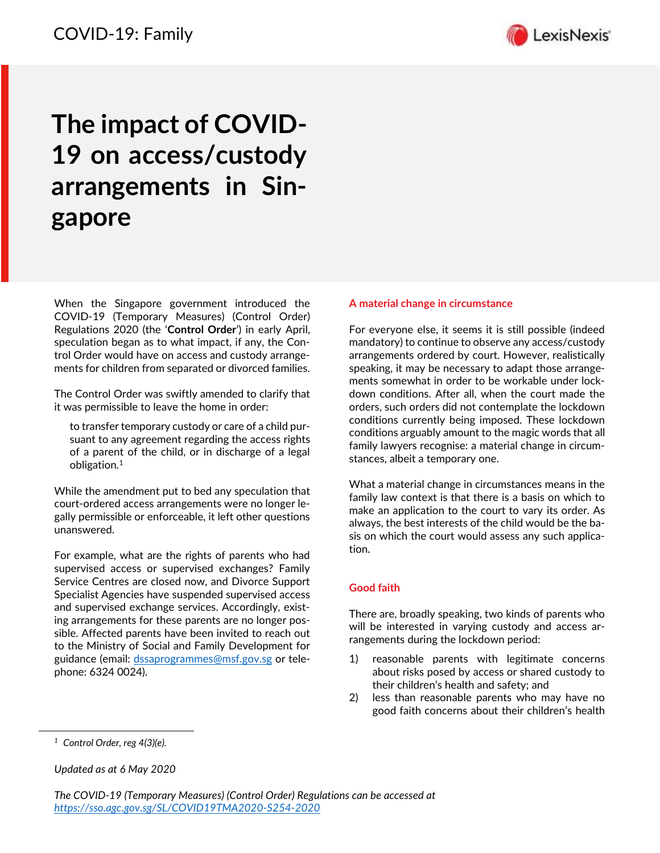

# **The impact of COVID-19 on access/custody arrangements in Singapore**

When the Singapore government introduced the COVID-19 (Temporary Measures) (Control Order) Regulations 2020 (the '**Control Order**') in early April, speculation began as to what impact, if any, the Control Order would have on access and custody arrangements for children from separated or divorced families.

The Control Order was swiftly amended to clarify that it was permissible to leave the home in order:

to transfer temporary custody or care of a child pursuant to any agreement regarding the access rights of a parent of the child, or in discharge of a legal obligation.<sup>1</sup>

While the amendment put to bed any speculation that court-ordered access arrangements were no longer legally permissible or enforceable, it left other questions unanswered.

For example, what are the rights of parents who had supervised access or supervised exchanges? Family Service Centres are closed now, and Divorce Support Specialist Agencies have suspended supervised access and supervised exchange services. Accordingly, existing arrangements for these parents are no longer possible. Affected parents have been invited to reach out to the Ministry of Social and Family Development for guidance (email: [dssaprogrammes@msf.gov.sg](mailto:dssaprogrammes@msf.gov.sg) or telephone: 6324 0024).

### **A material change in circumstance**

For everyone else, it seems it is still possible (indeed mandatory) to continue to observe any access/custody arrangements ordered by court. However, realistically speaking, it may be necessary to adapt those arrangements somewhat in order to be workable under lockdown conditions. After all, when the court made the orders, such orders did not contemplate the lockdown conditions currently being imposed. These lockdown conditions arguably amount to the magic words that all family lawyers recognise: a material change in circumstances, albeit a temporary one.

What a material change in circumstances means in the family law context is that there is a basis on which to make an application to the court to vary its order. As always, the best interests of the child would be the basis on which the court would assess any such application.

## **Good faith**

There are, broadly speaking, two kinds of parents who will be interested in varying custody and access arrangements during the lockdown period:

- 1) reasonable parents with legitimate concerns about risks posed by access or shared custody to their children's health and safety; and
- 2) less than reasonable parents who may have no good faith concerns about their children's health

*<sup>1</sup> Control Order, reg 4(3)(e).*

*Updated as at 6 May 2020*

*The COVID-19 (Temporary Measures) (Control Order) Regulations can be accessed at <https://sso.agc.gov.sg/SL/COVID19TMA2020-S254-2020>*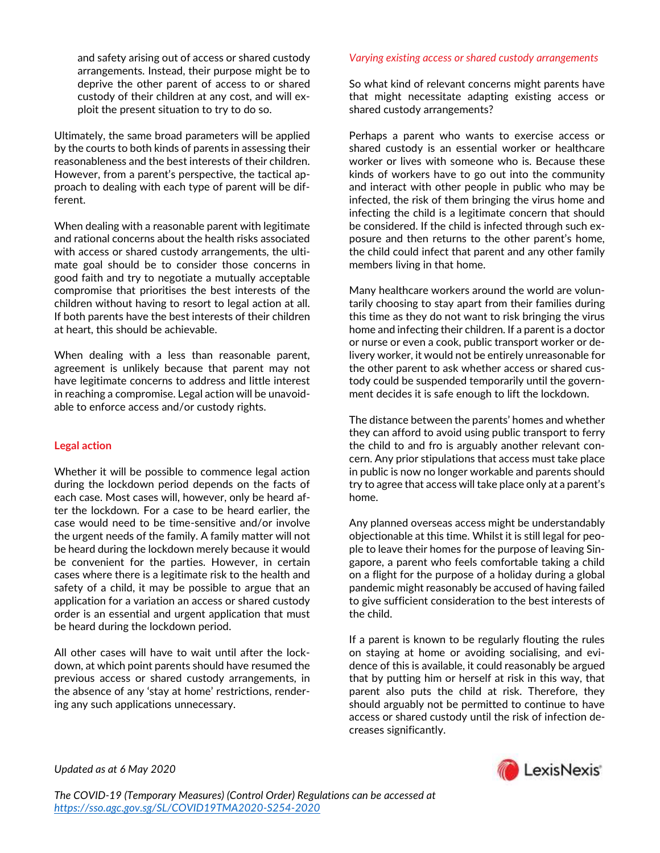and safety arising out of access or shared custody arrangements. Instead, their purpose might be to deprive the other parent of access to or shared custody of their children at any cost, and will exploit the present situation to try to do so.

Ultimately, the same broad parameters will be applied by the courts to both kinds of parents in assessing their reasonableness and the best interests of their children. However, from a parent's perspective, the tactical approach to dealing with each type of parent will be different.

When dealing with a reasonable parent with legitimate and rational concerns about the health risks associated with access or shared custody arrangements, the ultimate goal should be to consider those concerns in good faith and try to negotiate a mutually acceptable compromise that prioritises the best interests of the children without having to resort to legal action at all. If both parents have the best interests of their children at heart, this should be achievable.

When dealing with a less than reasonable parent, agreement is unlikely because that parent may not have legitimate concerns to address and little interest in reaching a compromise. Legal action will be unavoidable to enforce access and/or custody rights.

## **Legal action**

Whether it will be possible to commence legal action during the lockdown period depends on the facts of each case. Most cases will, however, only be heard after the lockdown. For a case to be heard earlier, the case would need to be time-sensitive and/or involve the urgent needs of the family. A family matter will not be heard during the lockdown merely because it would be convenient for the parties. However, in certain cases where there is a legitimate risk to the health and safety of a child, it may be possible to argue that an application for a variation an access or shared custody order is an essential and urgent application that must be heard during the lockdown period.

All other cases will have to wait until after the lockdown, at which point parents should have resumed the previous access or shared custody arrangements, in the absence of any 'stay at home' restrictions, rendering any such applications unnecessary.

## *Varying existing access or shared custody arrangements*

So what kind of relevant concerns might parents have that might necessitate adapting existing access or shared custody arrangements?

Perhaps a parent who wants to exercise access or shared custody is an essential worker or healthcare worker or lives with someone who is. Because these kinds of workers have to go out into the community and interact with other people in public who may be infected, the risk of them bringing the virus home and infecting the child is a legitimate concern that should be considered. If the child is infected through such exposure and then returns to the other parent's home, the child could infect that parent and any other family members living in that home.

Many healthcare workers around the world are voluntarily choosing to stay apart from their families during this time as they do not want to risk bringing the virus home and infecting their children. If a parent is a doctor or nurse or even a cook, public transport worker or delivery worker, it would not be entirely unreasonable for the other parent to ask whether access or shared custody could be suspended temporarily until the government decides it is safe enough to lift the lockdown.

The distance between the parents' homes and whether they can afford to avoid using public transport to ferry the child to and fro is arguably another relevant concern. Any prior stipulations that access must take place in public is now no longer workable and parents should try to agree that access will take place only at a parent's home.

Any planned overseas access might be understandably objectionable at this time. Whilst it is still legal for people to leave their homes for the purpose of leaving Singapore, a parent who feels comfortable taking a child on a flight for the purpose of a holiday during a global pandemic might reasonably be accused of having failed to give sufficient consideration to the best interests of the child.

If a parent is known to be regularly flouting the rules on staying at home or avoiding socialising, and evidence of this is available, it could reasonably be argued that by putting him or herself at risk in this way, that parent also puts the child at risk. Therefore, they should arguably not be permitted to continue to have access or shared custody until the risk of infection decreases significantly.

*Updated as at 6 May 2020*



*The COVID-19 (Temporary Measures) (Control Order) Regulations can be accessed at <https://sso.agc.gov.sg/SL/COVID19TMA2020-S254-2020>*